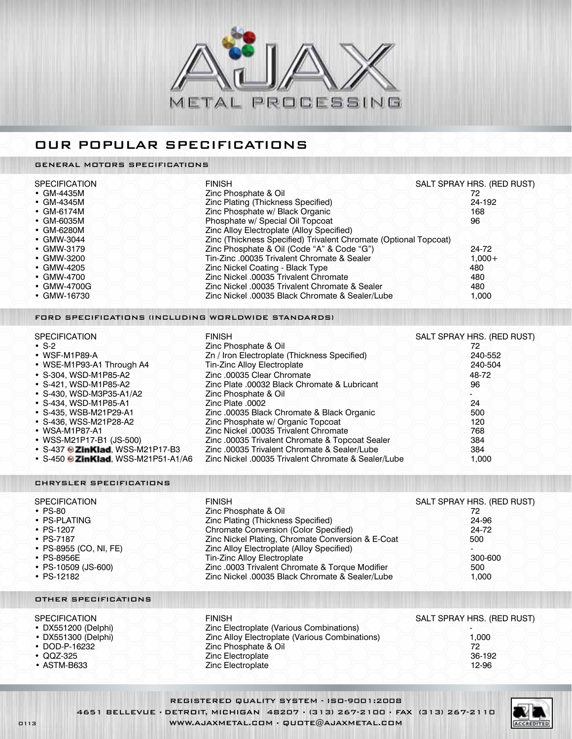

## O ur popular specifications

### GENERAL MOTORS SPECIFICATIONS

| <b>SPECIFICATION</b> | <b>FINISH</b>                                                    | SALT SPRAY HRS. (RED RUST) |
|----------------------|------------------------------------------------------------------|----------------------------|
| $\cdot$ GM-4435M     | Zinc Phosphate & Oil                                             | 72                         |
| $\cdot$ GM-4345M     | Zinc Plating (Thickness Specified)                               | 24-192                     |
| $\cdot$ GM-6174M     | Zinc Phosphate w/ Black Organic                                  | 168                        |
| • GM-6035M           | Phosphate w/ Special Oil Topcoat                                 | 96                         |
| $\cdot$ GM-6280M     | Zinc Alloy Electroplate (Alloy Specified)                        |                            |
| • GMW-3044           | Zinc (Thickness Specified) Trivalent Chromate (Optional Topcoat) |                            |
| $\cdot$ GMW-3179     | Zinc Phosphate & Oil (Code "A" & Code "G")                       | 24-72                      |
| • GMW-3200           | Tin-Zinc .00035 Trivalent Chromate & Sealer                      | $1.000 +$                  |
| • GMW-4205           | Zinc Nickel Coating - Black Type                                 | 480                        |
| • GMW-4700           | Zinc Nickel .00035 Trivalent Chromate                            | 480                        |
| • GMW-4700G          | Zinc Nickel .00035 Trivalent Chromate & Sealer                   | 480                        |
| • GMW-16730          | Zinc Nickel .00035 Black Chromate & Sealer/Lube                  | 1.000                      |

#### FORD SPECIFICATIONS (INCLUDING WORLDWIDE STANDARDS)

| <b>SPECIFICATION</b>                        | <b>FINISH</b>                                       | SALT SPRAY HRS. (RED RUST) |
|---------------------------------------------|-----------------------------------------------------|----------------------------|
| $\cdot$ S-2                                 | Zinc Phosphate & Oil                                | 72                         |
| • WSF-M1P89-A                               | Zn / Iron Electroplate (Thickness Specified)        | 240-552                    |
| • WSE-M1P93-A1 Through A4                   | Tin-Zinc Alloy Electroplate                         | 240-504                    |
| • S-304, WSD-M1P85-A2                       | Zinc.00035 Clear Chromate                           | 48-72                      |
| • S-421, WSD-M1P85-A2                       | Zinc Plate .00032 Black Chromate & Lubricant        | 96                         |
| • S-430, WSD-M3P35-A1/A2                    | Zinc Phosphate & Oil                                |                            |
| • S-434, WSD-M1P85-A1                       | Zinc Plate .0002                                    | 24                         |
| • S-435, WSB-M21P29-A1                      | Zinc.00035 Black Chromate & Black Organic           | 500                        |
| • S-436, WSS-M21P28-A2                      | Zinc Phosphate w/ Organic Topcoat                   | 120                        |
| • WSA-M1P87-A1                              | Zinc Nickel .00035 Trivalent Chromate               | 768                        |
| • WSS-M21P17-B1 (JS-500)                    | Zinc. 00035 Trivalent Chromate & Topcoat Sealer     | 384                        |
| • S-437 <sup>®</sup> ZinKlad, WSS-M21P17-B3 | Zinc.00035 Trivalent Chromate & Sealer/Lube         | 384                        |
| • S-450 $\odot$ ZinKlad, WSS-M21P51-A1/A6   | Zinc Nickel .00035 Trivalent Chromate & Sealer/Lube | 1.000                      |

#### CHRYSLER SPECIFICATIONS

| <b>SPECIFICATION</b>   | <b>FINISH</b>                                     | SALT SPRAY HRS. (RED RUST) |
|------------------------|---------------------------------------------------|----------------------------|
| $\cdot$ PS-80          | Zinc Phosphate & Oil                              | 72                         |
| • PS-PLATING           | Zinc Plating (Thickness Specified)                | 24-96                      |
| • $PS-1207$            | <b>Chromate Conversion (Color Specified)</b>      | 24-72                      |
| $\cdot$ PS-7187        | Zinc Nickel Plating, Chromate Conversion & E-Coat | 500                        |
| • PS-8955 (CO, NI, FE) | Zinc Alloy Electroplate (Alloy Specified)         |                            |
| $\cdot$ PS-8956E       | Tin-Zinc Alloy Electroplate                       | -300-600                   |
| • PS-10509 (JS-600)    | Zinc .0003 Trivalent Chromate & Torque Modifier   | 500                        |
| $\cdot$ PS-12182       | Zinc Nickel .00035 Black Chromate & Sealer/Lube   | 1.000                      |

Zinc Electroplate

#### OTHER SPECIFICATIONS

#### SPECIFICATION FINISH FINISH FINISH SALT SPRAY HRS. (RED RUST)

| • DX551200 (Delphi) | Zinc Electroplate (Various Combinations)       |      |
|---------------------|------------------------------------------------|------|
| • DX551300 (Delphi) | Zinc Alloy Electroplate (Various Combinations) | .000 |
| $\cdot$ DOD-P-16232 | Zinc Phosphate & Oil                           |      |

- • DOD-P-16232 Zinc Phosphate & Oil 72
- 
- ASTM-B633  $\sqrt{2}$   $\sqrt{2}$   $\sqrt{2}$  inc Electroplate  $\sqrt{2}$   $\sqrt{2}$   $\sqrt{2}$   $\sqrt{2}$   $\sqrt{2}$   $\sqrt{2}$   $\sqrt{2}$   $\sqrt{2}$   $\sqrt{2}$   $\sqrt{2}$   $\sqrt{2}$   $\sqrt{2}$   $\sqrt{2}$   $\sqrt{2}$   $\sqrt{2}$   $\sqrt{2}$   $\sqrt{2}$   $\sqrt{2}$   $\sqrt{2}$   $\sqrt{2}$   $\sqrt{2}$

REGISTERED QUALITY SYSTEM - ISO-9001:2008 4651 BELLEVUE • DETROIT, MICHIGAN 48207 • (313) 267-2100 • FAX (313) 267-2110 0113 WWW.AJAXMETAL.COM • QUOTE@AJAXMETAL.COM